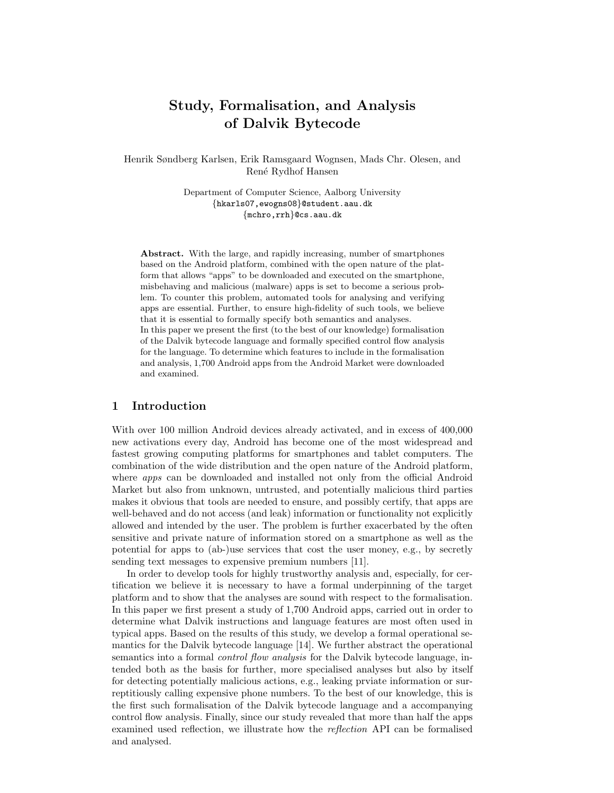# Study, Formalisation, and Analysis of Dalvik Bytecode

Henrik Søndberg Karlsen, Erik Ramsgaard Wognsen, Mads Chr. Olesen, and René Rydhof Hansen

> Department of Computer Science, Aalborg University {hkarls07,ewogns08}@student.aau.dk {mchro,rrh}@cs.aau.dk

Abstract. With the large, and rapidly increasing, number of smartphones based on the Android platform, combined with the open nature of the platform that allows "apps" to be downloaded and executed on the smartphone, misbehaving and malicious (malware) apps is set to become a serious problem. To counter this problem, automated tools for analysing and verifying apps are essential. Further, to ensure high-fidelity of such tools, we believe that it is essential to formally specify both semantics and analyses. In this paper we present the first (to the best of our knowledge) formalisation of the Dalvik bytecode language and formally specified control flow analysis for the language. To determine which features to include in the formalisation and analysis, 1,700 Android apps from the Android Market were downloaded and examined.

## 1 Introduction

With over 100 million Android devices already activated, and in excess of 400,000 new activations every day, Android has become one of the most widespread and fastest growing computing platforms for smartphones and tablet computers. The combination of the wide distribution and the open nature of the Android platform, where *apps* can be downloaded and installed not only from the official Android Market but also from unknown, untrusted, and potentially malicious third parties makes it obvious that tools are needed to ensure, and possibly certify, that apps are well-behaved and do not access (and leak) information or functionality not explicitly allowed and intended by the user. The problem is further exacerbated by the often sensitive and private nature of information stored on a smartphone as well as the potential for apps to (ab-)use services that cost the user money, e.g., by secretly sending text messages to expensive premium numbers [11].

In order to develop tools for highly trustworthy analysis and, especially, for certification we believe it is necessary to have a formal underpinning of the target platform and to show that the analyses are sound with respect to the formalisation. In this paper we first present a study of 1,700 Android apps, carried out in order to determine what Dalvik instructions and language features are most often used in typical apps. Based on the results of this study, we develop a formal operational semantics for the Dalvik bytecode language [14]. We further abstract the operational semantics into a formal *control flow analysis* for the Dalvik bytecode language, intended both as the basis for further, more specialised analyses but also by itself for detecting potentially malicious actions, e.g., leaking prviate information or surreptitiously calling expensive phone numbers. To the best of our knowledge, this is the first such formalisation of the Dalvik bytecode language and a accompanying control flow analysis. Finally, since our study revealed that more than half the apps examined used reflection, we illustrate how the reflection API can be formalised and analysed.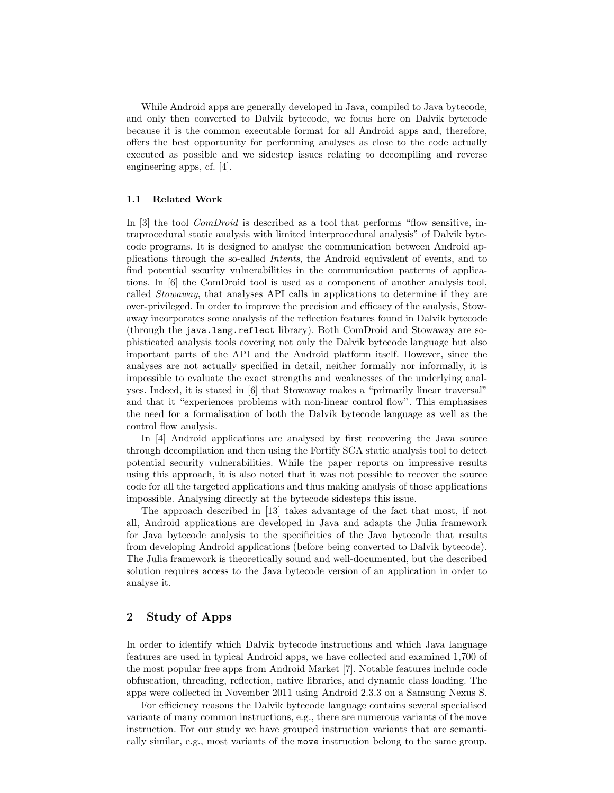While Android apps are generally developed in Java, compiled to Java bytecode, and only then converted to Dalvik bytecode, we focus here on Dalvik bytecode because it is the common executable format for all Android apps and, therefore, offers the best opportunity for performing analyses as close to the code actually executed as possible and we sidestep issues relating to decompiling and reverse engineering apps, cf. [4].

## 1.1 Related Work

In [3] the tool *ComDroid* is described as a tool that performs "flow sensitive, intraprocedural static analysis with limited interprocedural analysis" of Dalvik bytecode programs. It is designed to analyse the communication between Android applications through the so-called Intents, the Android equivalent of events, and to find potential security vulnerabilities in the communication patterns of applications. In [6] the ComDroid tool is used as a component of another analysis tool, called Stowaway, that analyses API calls in applications to determine if they are over-privileged. In order to improve the precision and efficacy of the analysis, Stowaway incorporates some analysis of the reflection features found in Dalvik bytecode (through the java.lang.reflect library). Both ComDroid and Stowaway are sophisticated analysis tools covering not only the Dalvik bytecode language but also important parts of the API and the Android platform itself. However, since the analyses are not actually specified in detail, neither formally nor informally, it is impossible to evaluate the exact strengths and weaknesses of the underlying analyses. Indeed, it is stated in [6] that Stowaway makes a "primarily linear traversal" and that it "experiences problems with non-linear control flow". This emphasises the need for a formalisation of both the Dalvik bytecode language as well as the control flow analysis.

In [4] Android applications are analysed by first recovering the Java source through decompilation and then using the Fortify SCA static analysis tool to detect potential security vulnerabilities. While the paper reports on impressive results using this approach, it is also noted that it was not possible to recover the source code for all the targeted applications and thus making analysis of those applications impossible. Analysing directly at the bytecode sidesteps this issue.

The approach described in [13] takes advantage of the fact that most, if not all, Android applications are developed in Java and adapts the Julia framework for Java bytecode analysis to the specificities of the Java bytecode that results from developing Android applications (before being converted to Dalvik bytecode). The Julia framework is theoretically sound and well-documented, but the described solution requires access to the Java bytecode version of an application in order to analyse it.

# 2 Study of Apps

In order to identify which Dalvik bytecode instructions and which Java language features are used in typical Android apps, we have collected and examined 1,700 of the most popular free apps from Android Market [7]. Notable features include code obfuscation, threading, reflection, native libraries, and dynamic class loading. The apps were collected in November 2011 using Android 2.3.3 on a Samsung Nexus S.

For efficiency reasons the Dalvik bytecode language contains several specialised variants of many common instructions, e.g., there are numerous variants of the move instruction. For our study we have grouped instruction variants that are semantically similar, e.g., most variants of the move instruction belong to the same group.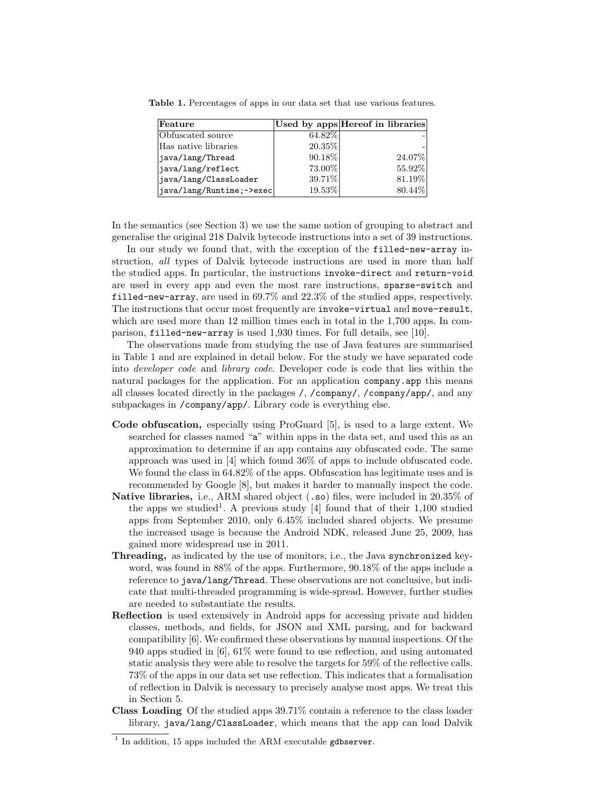| Feature                  |         | Used by apps Hereof in libraries |
|--------------------------|---------|----------------------------------|
| Obfuscated source        | 64.82\% |                                  |
| Has native libraries     | 20.35%  |                                  |
| java/lang/Thread         | 90.18%  | 24.07%                           |
| java/lang/reflect        | 73.00%  | 55.92%                           |
| java/lang/ClassLoader    | 39.71%  | 81.19%                           |
| java/lang/Runtime;->exec | 19.53%  | 80.44%                           |

Table 1. Percentages of apps in our data set that use various features.

In the semantics (see Section 3) we use the same notion of grouping to abstract and generalise the original 218 Dalvik bytecode instructions into a set of 39 instructions.

In our study we found that, with the exception of the filled-new-array instruction, all types of Dalvik bytecode instructions are used in more than half the studied apps. In particular, the instructions invoke-direct and return-void are used in every app and even the most rare instructions, sparse-switch and filled-new-array, are used in 69.7% and 22.3% of the studied apps, respectively. The instructions that occur most frequently are invoke-virtual and move-result, which are used more than 12 million times each in total in the 1,700 apps. In comparison, filled-new-array is used 1,930 times. For full details, see [10].

The observations made from studying the use of Java features are summarised in Table 1 and are explained in detail below. For the study we have separated code into developer code and library code. Developer code is code that lies within the natural packages for the application. For an application company.app this means all classes located directly in the packages /, /company/, /company/app/, and any subpackages in /company/app/. Library code is everything else.

- Code obfuscation, especially using ProGuard [5], is used to a large extent. We searched for classes named "a" within apps in the data set, and used this as an approximation to determine if an app contains any obfuscated code. The same approach was used in [4] which found 36% of apps to include obfuscated code. We found the class in 64.82% of the apps. Obfuscation has legitimate uses and is recommended by Google [8], but makes it harder to manually inspect the code.
- Native libraries, i.e., ARM shared object (.so) files, were included in 20.35% of the apps we studied<sup>1</sup>. A previous study [4] found that of their  $1,100$  studied apps from September 2010, only 6.45% included shared objects. We presume the increased usage is because the Android NDK, released June 25, 2009, has gained more widespread use in 2011.
- Threading, as indicated by the use of monitors, i.e., the Java synchronized keyword, was found in 88% of the apps. Furthermore, 90.18% of the apps include a reference to java/lang/Thread. These observations are not conclusive, but indicate that multi-threaded programming is wide-spread. However, further studies are needed to substantiate the results.
- Reflection is used extensively in Android apps for accessing private and hidden classes, methods, and fields, for JSON and XML parsing, and for backward compatibility [6]. We confirmed these observations by manual inspections. Of the 940 apps studied in [6], 61% were found to use reflection, and using automated static analysis they were able to resolve the targets for 59% of the reflective calls. 73% of the apps in our data set use reflection. This indicates that a formalisation of reflection in Dalvik is necessary to precisely analyse most apps. We treat this in Section 5.
- Class Loading Of the studied apps 39.71% contain a reference to the class loader library, java/lang/ClassLoader, which means that the app can load Dalvik

<sup>&</sup>lt;sup>1</sup> In addition, 15 apps included the ARM executable gdbserver.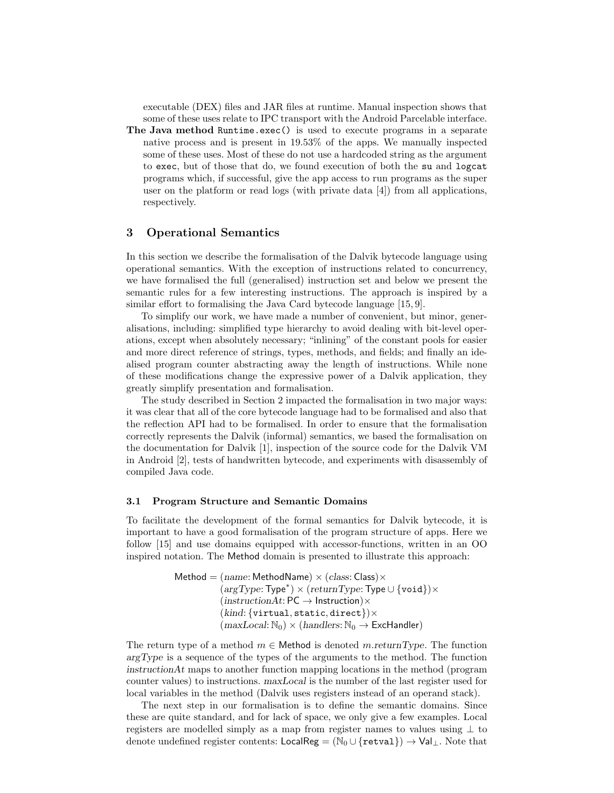executable (DEX) files and JAR files at runtime. Manual inspection shows that some of these uses relate to IPC transport with the Android Parcelable interface.

The Java method Runtime.exec() is used to execute programs in a separate native process and is present in 19.53% of the apps. We manually inspected some of these uses. Most of these do not use a hardcoded string as the argument to exec, but of those that do, we found execution of both the su and logcat programs which, if successful, give the app access to run programs as the super user on the platform or read logs (with private data [4]) from all applications, respectively.

## 3 Operational Semantics

In this section we describe the formalisation of the Dalvik bytecode language using operational semantics. With the exception of instructions related to concurrency, we have formalised the full (generalised) instruction set and below we present the semantic rules for a few interesting instructions. The approach is inspired by a similar effort to formalising the Java Card bytecode language [15, 9].

To simplify our work, we have made a number of convenient, but minor, generalisations, including: simplified type hierarchy to avoid dealing with bit-level operations, except when absolutely necessary; "inlining" of the constant pools for easier and more direct reference of strings, types, methods, and fields; and finally an idealised program counter abstracting away the length of instructions. While none of these modifications change the expressive power of a Dalvik application, they greatly simplify presentation and formalisation.

The study described in Section 2 impacted the formalisation in two major ways: it was clear that all of the core bytecode language had to be formalised and also that the reflection API had to be formalised. In order to ensure that the formalisation correctly represents the Dalvik (informal) semantics, we based the formalisation on the documentation for Dalvik [1], inspection of the source code for the Dalvik VM in Android [2], tests of handwritten bytecode, and experiments with disassembly of compiled Java code.

#### 3.1 Program Structure and Semantic Domains

To facilitate the development of the formal semantics for Dalvik bytecode, it is important to have a good formalisation of the program structure of apps. Here we follow [15] and use domains equipped with accessor-functions, written in an OO inspired notation. The Method domain is presented to illustrate this approach:

> Method =  $(name: MethodName) \times (class: Class) \times$  $(\mathrm{argType:Type^*}) \times (\mathrm{returnType:Type \cup \{\mathrm{void}\}) \times$  $(instructionAt: PC \rightarrow Instruction) \times$  $(kind: \{ \texttt{virtual}, \texttt{static}, \texttt{direct} \}) \times$  $(maxLocal: \mathbb{N}_0) \times (handlers: \mathbb{N}_0 \rightarrow Exchander)$

The return type of a method  $m \in$  Method is denoted m.returnType. The function argType is a sequence of the types of the arguments to the method. The function instructionAt maps to another function mapping locations in the method (program counter values) to instructions. maxLocal is the number of the last register used for local variables in the method (Dalvik uses registers instead of an operand stack).

The next step in our formalisation is to define the semantic domains. Since these are quite standard, and for lack of space, we only give a few examples. Local registers are modelled simply as a map from register names to values using  $\perp$  to denote undefined register contents: LocalReg =  $(N_0 \cup \{ \text{retval} \}) \rightarrow \text{Val}_\perp$ . Note that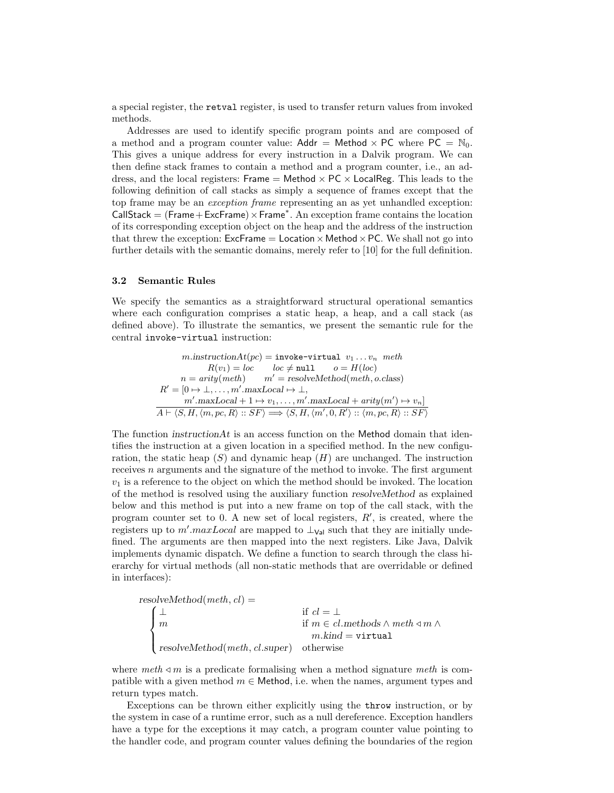a special register, the retval register, is used to transfer return values from invoked methods.

Addresses are used to identify specific program points and are composed of a method and a program counter value: Addr = Method  $\times$  PC where PC =  $\mathbb{N}_0$ . This gives a unique address for every instruction in a Dalvik program. We can then define stack frames to contain a method and a program counter, i.e., an address, and the local registers: Frame  $=$  Method  $\times$  PC  $\times$  LocalReg. This leads to the following definition of call stacks as simply a sequence of frames except that the top frame may be an *exception frame* representing an as yet unhandled exception:  $CallStack = (Frame + ExcFrame) \times Frame^*$ . An exception frame contains the location of its corresponding exception object on the heap and the address of the instruction that threw the exception:  $\mathsf{ExcFrame} = \mathsf{Location} \times \mathsf{Method} \times \mathsf{PC}$ . We shall not go into further details with the semantic domains, merely refer to [10] for the full definition.

#### 3.2 Semantic Rules

We specify the semantics as a straightforward structural operational semantics where each configuration comprises a static heap, a heap, and a call stack (as defined above). To illustrate the semantics, we present the semantic rule for the central invoke-virtual instruction:

$$
m.\text{instructionAt}(pc) = \text{invoke-virtual } v_1 \dots v_n \text{ meth}
$$
  
\n
$$
R(v_1) = loc \quad loc \neq \text{null} \quad o = H(loc)
$$
  
\n
$$
n = \text{arity}(\text{meth}) \quad m' = \text{resolveMethod}(\text{meth}, o.\text{class})
$$
  
\n
$$
R' = [0 \rightarrow \perp, \dots, m'.\text{maxLocal} \rightarrow \perp,
$$
  
\n
$$
m'.\text{maxLocal} + 1 \rightarrow v_1, \dots, m'.\text{maxLocal} + \text{arity}(m') \rightarrow v_n]
$$
  
\n
$$
\overline{A \vdash \langle S, H, \langle m, pc, R \rangle : : SF \rangle} \Longrightarrow \langle S, H, \langle m', 0, R' \rangle : : \langle m, pc, R \rangle : : SF \rangle}
$$

The function instruction $At$  is an access function on the Method domain that identifies the instruction at a given location in a specified method. In the new configuration, the static heap  $(S)$  and dynamic heap  $(H)$  are unchanged. The instruction receives  $n$  arguments and the signature of the method to invoke. The first argument  $v_1$  is a reference to the object on which the method should be invoked. The location of the method is resolved using the auxiliary function resolveMethod as explained below and this method is put into a new frame on top of the call stack, with the program counter set to 0. A new set of local registers,  $R'$ , is created, where the registers up to  $m'.maxLocal$  are mapped to  $\perp_{\mathsf{Val}}$  such that they are initially undefined. The arguments are then mapped into the next registers. Like Java, Dalvik implements dynamic dispatch. We define a function to search through the class hierarchy for virtual methods (all non-static methods that are overridable or defined in interfaces):

resolveMethod(meth, cl) =  
\n
$$
\begin{cases}\n\bot & \text{if } cl = \bot \\
m & \text{if } m \in cl.\text{methods} \land \text{meth} \triangleleft m \land \\
m.kind = \text{virtual} \\
\text{resolveMethod}(meth, cl.\text{super}) & \text{otherwise}\n\end{cases}
$$

where meth  $\triangleleft m$  is a predicate formalising when a method signature meth is compatible with a given method  $m \in$  Method, i.e. when the names, argument types and return types match.

Exceptions can be thrown either explicitly using the throw instruction, or by the system in case of a runtime error, such as a null dereference. Exception handlers have a type for the exceptions it may catch, a program counter value pointing to the handler code, and program counter values defining the boundaries of the region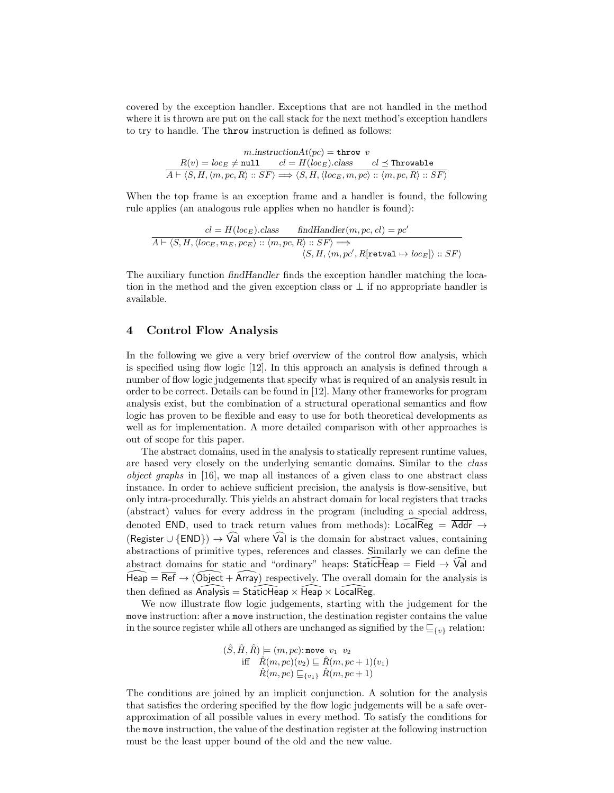covered by the exception handler. Exceptions that are not handled in the method where it is thrown are put on the call stack for the next method's exception handlers to try to handle. The throw instruction is defined as follows:

$$
m.\text{instructionAt}(pc) = \text{throw } v
$$
  

$$
R(v) = loc_E \neq \text{null} \qquad cl = H(loc_E).class \qquad cl \preceq \text{Throwable}
$$
  

$$
A \vdash \langle S, H, \langle m, pc, R \rangle :: SF \rangle \Longrightarrow \langle S, H, \langle loc_E, m, pc \rangle :: \langle m, pc, R \rangle :: SF \rangle
$$

When the top frame is an exception frame and a handler is found, the following rule applies (an analogous rule applies when no handler is found):

$$
cl = H(loc_E).class \qquad find \text{Handler}(m, pc, cl) = pc'
$$
  

$$
\overline{A \vdash \langle S, H, \langle loc_E, m_E, pc_E \rangle :: \langle m, pc, R \rangle :: SF \rangle} \Longrightarrow
$$
  

$$
\langle S, H, \langle m, pc', R[\text{retval} \mapsto loc_E] \rangle :: SF \rangle
$$

The auxiliary function findHandler finds the exception handler matching the location in the method and the given exception class or  $\perp$  if no appropriate handler is available.

## 4 Control Flow Analysis

In the following we give a very brief overview of the control flow analysis, which is specified using flow logic [12]. In this approach an analysis is defined through a number of flow logic judgements that specify what is required of an analysis result in order to be correct. Details can be found in [12]. Many other frameworks for program analysis exist, but the combination of a structural operational semantics and flow logic has proven to be flexible and easy to use for both theoretical developments as well as for implementation. A more detailed comparison with other approaches is out of scope for this paper.

The abstract domains, used in the analysis to statically represent runtime values, are based very closely on the underlying semantic domains. Similar to the class object graphs in [16], we map all instances of a given class to one abstract class instance. In order to achieve sufficient precision, the analysis is flow-sensitive, but only intra-procedurally. This yields an abstract domain for local registers that tracks (abstract) values for every address in the program (including a special address, denoted END, used to track return values from methods): LocalReg =  $\overline{\text{Addr}} \rightarrow$ (Register  $\cup$  {END})  $\rightarrow$  Val where Val is the domain for abstract values, containing abstractions of primitive types, references and classes. Similarly we can define the abstract domains for static and "ordinary" heaps: StaticHeap = Field  $\rightarrow$  Val and  $\widehat{Heap} = \overline{Ref} \rightarrow (\widehat{Object} + \widehat{Array})$  respectively. The overall domain for the analysis is then defined as Analysis  $=$  StaticHeap  $\times$  Heap  $\times$  LocalReg.

We now illustrate flow logic judgements, starting with the judgement for the move instruction: after a move instruction, the destination register contains the value in the source register while all others are unchanged as signified by the  $\mathcal{L}_{\{v\}}$  relation:

$$
(\hat{S}, \hat{H}, \hat{R}) \models (m, pc) : \mathtt{move} \ v_1 \ v_2 \\ \text{ iff } \hat{R}(m, pc)(v_2) \sqsubseteq \hat{R}(m, pc+1)(v_1) \\ \hat{R}(m, pc) \sqsubseteq_{\{v_1\}} \hat{R}(m, pc+1)
$$

The conditions are joined by an implicit conjunction. A solution for the analysis that satisfies the ordering specified by the flow logic judgements will be a safe overapproximation of all possible values in every method. To satisfy the conditions for the move instruction, the value of the destination register at the following instruction must be the least upper bound of the old and the new value.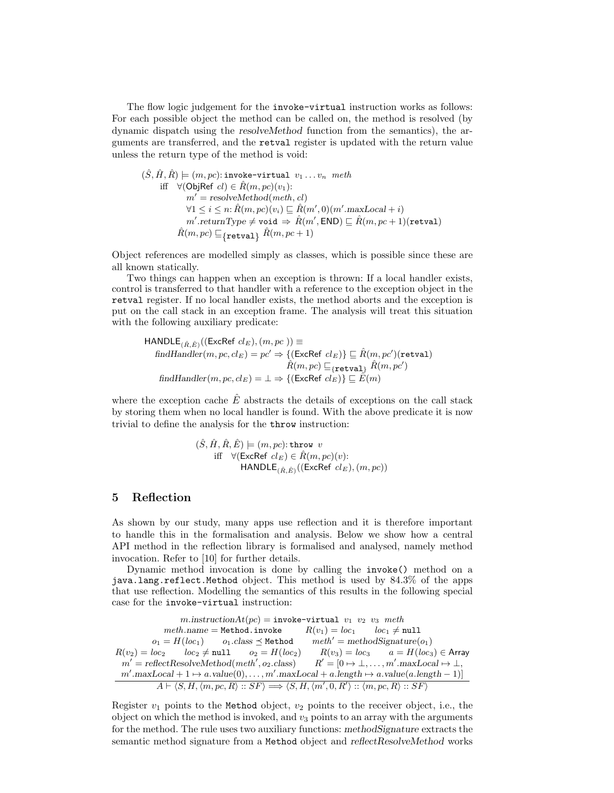The flow logic judgement for the invoke-virtual instruction works as follows: For each possible object the method can be called on, the method is resolved (by dynamic dispatch using the resolveMethod function from the semantics), the arguments are transferred, and the retval register is updated with the return value unless the return type of the method is void:

$$
(\hat{S}, \hat{H}, \hat{R}) \models (m, pc): \text{invoke-virtual } v_1 \dots v_n \text{ meth}
$$
  
iff  $\forall (\text{ObjRef } cl) \in \hat{R}(m, pc)(v_1):$   
 $m' = resolveMethod(meth, cl)$   
 $\forall 1 \le i \le n: \hat{R}(m, pc)(v_i) \sqsubseteq \hat{R}(m', 0)(m'.maxLocal + i)$   
 $m'.returnType \neq \text{void } \Rightarrow \hat{R}(m', \text{END}) \sqsubseteq \hat{R}(m, pc + 1)(\text{retval})$   
 $\hat{R}(m, pc) \sqsubseteq \{\text{retval}\} \hat{R}(m, pc + 1)$ 

Object references are modelled simply as classes, which is possible since these are all known statically.

Two things can happen when an exception is thrown: If a local handler exists, control is transferred to that handler with a reference to the exception object in the retval register. If no local handler exists, the method aborts and the exception is put on the call stack in an exception frame. The analysis will treat this situation with the following auxiliary predicate:

HANDLE
$$
\hat{R}(\hat{R}, \hat{E}) \cdot (\text{ExcRef } cl_E), (m, pc) \equiv
$$

\nfindHandler $(m, pc, cl_E) = pc' \Rightarrow \{ (\text{ExcRef } cl_E) \} \sqsubseteq \hat{R}(m, pc') (\text{retval})$ 

\n
$$
\hat{R}(m, pc) \sqsubseteq_{\{\text{retval}\}} \hat{R}(m, pc')
$$

\nfindHandler $(m, pc, cl_E) = \bot \Rightarrow \{ (\text{ExcRef } cl_E) \} \sqsubseteq \hat{E}(m)$ 

where the exception cache  $\hat{E}$  abstracts the details of exceptions on the call stack by storing them when no local handler is found. With the above predicate it is now trivial to define the analysis for the throw instruction:

> $(\hat{S}, \hat{H}, \hat{R}, \hat{E}) \models (m, pc)$ : throw v iff  $\forall$ (ExcRef  $cl_E$ )  $\in \hat{R}(m, pc)(v)$ :  $\mathsf{HANDLE}_{(\hat{R}, \hat{E})}((\mathsf{ExcRef}\,\, cl_E), (m, pc))$

# 5 Reflection

As shown by our study, many apps use reflection and it is therefore important to handle this in the formalisation and analysis. Below we show how a central API method in the reflection library is formalised and analysed, namely method invocation. Refer to [10] for further details.

Dynamic method invocation is done by calling the invoke() method on a java.lang.reflect.Method object. This method is used by 84.3% of the apps that use reflection. Modelling the semantics of this results in the following special case for the invoke-virtual instruction:

 $m.instructionAt(pc) =$ **invoke-virtual**  $v_1$   $v_2$   $v_3$  meth  $meth.name = Method.invoke$   $R(v_1) = loc_1$   $loc_1 \neq null$  $o_1 = H(loc_1)$   $o_1.class \preceq Method$   $meth' = methodSignature(o_1)$  $R(v_2) = loc_2$   $loc_2 \neq \text{null}$   $o_2 = H(loc_2)$   $R(v_3) = loc_3$   $a = H(loc_3) \in \text{Array}$  $m' = \text{reflectResolveMethod}(\text{meth}', o_2 \text{.class}) \qquad R' = [0 \mapsto \bot, \ldots, m' \text{.maxLocal} \mapsto \bot,$  $m'.\text{maxLocal} + 1 \mapsto a.\text{value}(0), \ldots, m'.\text{maxLocal} + a.\text{length} \mapsto a.\text{value}(a.\text{length} - 1)]$  $A \vdash \langle S, H, \langle m, pc, R \rangle :: SF \rangle \Longrightarrow \langle S, H, \langle m', 0, R' \rangle :: \langle m, pc, R \rangle :: SF \rangle$ 

Register  $v_1$  points to the Method object,  $v_2$  points to the receiver object, i.e., the object on which the method is invoked, and  $v_3$  points to an array with the arguments for the method. The rule uses two auxiliary functions: methodSignature extracts the semantic method signature from a Method object and reflectResolveMethod works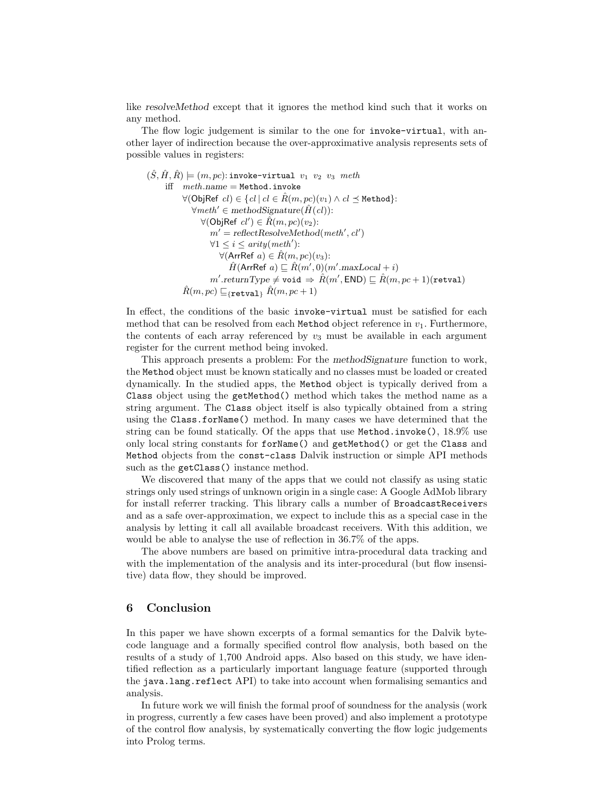like resolveMethod except that it ignores the method kind such that it works on any method.

The flow logic judgement is similar to the one for invoke-virtual, with another layer of indirection because the over-approximative analysis represents sets of possible values in registers:

 $(\hat{S}, \hat{H}, \hat{R}) \models (m, pc)$ : invoke-virtual  $v_1$   $v_2$   $v_3$  meth iff  $meth.name = Method.invoke$  $\forall$ (ObjRef  $cl$ )  $\in$  { $cl | cl \in \hat{R}(m, pc)(v_1) \wedge cl \preceq$  Method}:  $\forall \text{meth}' \in \text{methodSignature}(\hat{H}(cl))$ :  $\forall (\mathsf{ObjRef}\,\, cl') \in \hat{R}(m,pc)(v_2)$ :  $m' = reflectResolveMethod(meth', cl')$  $\forall 1 \leq i \leq arity(meth')$ :  $\forall$ (ArrRef  $a) \in R(m, pc)(v_3)$ :  $\hat{H}$ (ArrRef a)  $\subseteq \hat{R}(m', 0)(m'.maxLocal + i)$  $m'.returnType \neq \mathtt{void} \ \Rightarrow \ \hat{R}(m',\mathsf{END}) \sqsubseteq \hat{R}(m,pc+1)(\mathtt{retval})$  $\hat{R}(m, pc) \sqsubseteq_{\{\texttt{retval}\}} \hat{R}(m, pc + 1)$ 

In effect, the conditions of the basic invoke-virtual must be satisfied for each method that can be resolved from each Method object reference in  $v_1$ . Furthermore, the contents of each array referenced by  $v_3$  must be available in each argument register for the current method being invoked.

This approach presents a problem: For the methodSignature function to work, the Method object must be known statically and no classes must be loaded or created dynamically. In the studied apps, the Method object is typically derived from a Class object using the getMethod() method which takes the method name as a string argument. The Class object itself is also typically obtained from a string using the Class.forName() method. In many cases we have determined that the string can be found statically. Of the apps that use Method.invoke(), 18.9% use only local string constants for forName() and getMethod() or get the Class and Method objects from the const-class Dalvik instruction or simple API methods such as the getClass() instance method.

We discovered that many of the apps that we could not classify as using static strings only used strings of unknown origin in a single case: A Google AdMob library for install referrer tracking. This library calls a number of BroadcastReceivers and as a safe over-approximation, we expect to include this as a special case in the analysis by letting it call all available broadcast receivers. With this addition, we would be able to analyse the use of reflection in 36.7% of the apps.

The above numbers are based on primitive intra-procedural data tracking and with the implementation of the analysis and its inter-procedural (but flow insensitive) data flow, they should be improved.

# 6 Conclusion

In this paper we have shown excerpts of a formal semantics for the Dalvik bytecode language and a formally specified control flow analysis, both based on the results of a study of 1,700 Android apps. Also based on this study, we have identified reflection as a particularly important language feature (supported through the java.lang.reflect API) to take into account when formalising semantics and analysis.

In future work we will finish the formal proof of soundness for the analysis (work in progress, currently a few cases have been proved) and also implement a prototype of the control flow analysis, by systematically converting the flow logic judgements into Prolog terms.